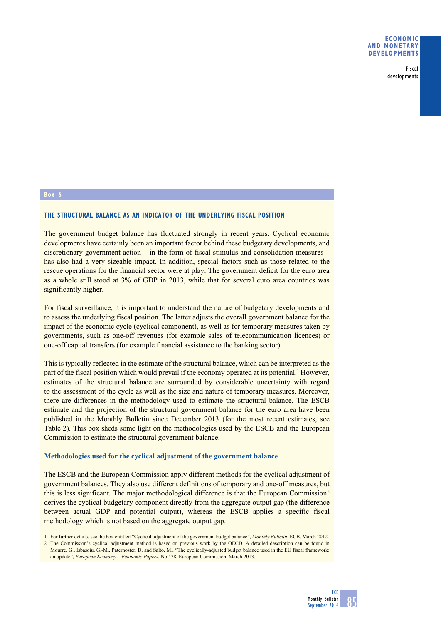Fiscal developments

## **Box 6**

# **The structural balance as an indicator of the underlying fiscal position**

The government budget balance has fluctuated strongly in recent years. Cyclical economic developments have certainly been an important factor behind these budgetary developments, and discretionary government action – in the form of fiscal stimulus and consolidation measures – has also had a very sizeable impact. In addition, special factors such as those related to the rescue operations for the financial sector were at play. The government deficit for the euro area as a whole still stood at 3% of GDP in 2013, while that for several euro area countries was significantly higher.

For fiscal surveillance, it is important to understand the nature of budgetary developments and to assess the underlying fiscal position. The latter adjusts the overall government balance for the impact of the economic cycle (cyclical component), as well as for temporary measures taken by governments, such as one-off revenues (for example sales of telecommunication licences) or one-off capital transfers (for example financial assistance to the banking sector).

This is typically reflected in the estimate of the structural balance, which can be interpreted as the part of the fiscal position which would prevail if the economy operated at its potential.<sup>1</sup> However, estimates of the structural balance are surrounded by considerable uncertainty with regard to the assessment of the cycle as well as the size and nature of temporary measures. Moreover, there are differences in the methodology used to estimate the structural balance. The ESCB estimate and the projection of the structural government balance for the euro area have been published in the Monthly Bulletin since December 2013 (for the most recent estimates, see Table 2). This box sheds some light on the methodologies used by the ESCB and the European Commission to estimate the structural government balance.

#### **Methodologies used for the cyclical adjustment of the government balance**

The ESCB and the European Commission apply different methods for the cyclical adjustment of government balances. They also use different definitions of temporary and one-off measures, but this is less significant. The major methodological difference is that the European Commission<sup>2</sup> derives the cyclical budgetary component directly from the aggregate output gap (the difference between actual GDP and potential output), whereas the ESCB applies a specific fiscal methodology which is not based on the aggregate output gap.

1 For further details, see the box entitled "Cyclical adjustment of the government budget balance", *Monthly Bulletin*, ECB, March 2012.

<sup>2</sup> The Commission's cyclical adjustment method is based on previous work by the OECD. A detailed description can be found in Mourre, G., Isbasoiu, G.-M., Paternoster, D. and Salto, M., "The cyclically-adjusted budget balance used in the EU fiscal framework: an update", *European Economy – Economic Papers*, No 478, European Commission, March 2013.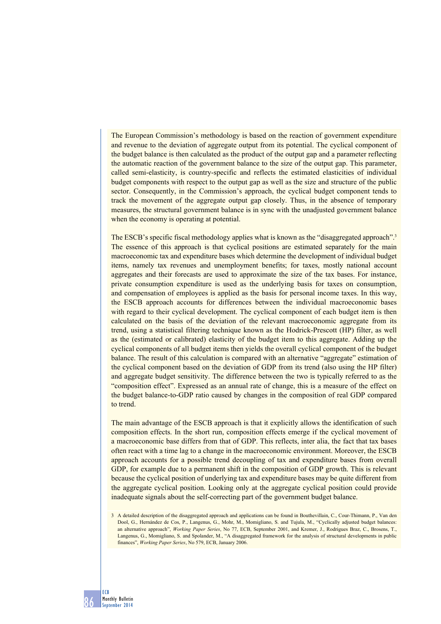The European Commission's methodology is based on the reaction of government expenditure and revenue to the deviation of aggregate output from its potential. The cyclical component of the budget balance is then calculated as the product of the output gap and a parameter reflecting the automatic reaction of the government balance to the size of the output gap. This parameter, called semi-elasticity, is country-specific and reflects the estimated elasticities of individual budget components with respect to the output gap as well as the size and structure of the public sector. Consequently, in the Commission's approach, the cyclical budget component tends to track the movement of the aggregate output gap closely. Thus, in the absence of temporary measures, the structural government balance is in sync with the unadjusted government balance when the economy is operating at potential.

The ESCB's specific fiscal methodology applies what is known as the "disaggregated approach".<sup>3</sup> The essence of this approach is that cyclical positions are estimated separately for the main macroeconomic tax and expenditure bases which determine the development of individual budget items, namely tax revenues and unemployment benefits; for taxes, mostly national account aggregates and their forecasts are used to approximate the size of the tax bases. For instance, private consumption expenditure is used as the underlying basis for taxes on consumption, and compensation of employees is applied as the basis for personal income taxes. In this way, the ESCB approach accounts for differences between the individual macroeconomic bases with regard to their cyclical development. The cyclical component of each budget item is then calculated on the basis of the deviation of the relevant macroeconomic aggregate from its trend, using a statistical filtering technique known as the Hodrick-Prescott (HP) filter, as well as the (estimated or calibrated) elasticity of the budget item to this aggregate. Adding up the cyclical components of all budget items then yields the overall cyclical component of the budget balance. The result of this calculation is compared with an alternative "aggregate" estimation of the cyclical component based on the deviation of GDP from its trend (also using the HP filter) and aggregate budget sensitivity. The difference between the two is typically referred to as the "composition effect". Expressed as an annual rate of change, this is a measure of the effect on the budget balance-to-GDP ratio caused by changes in the composition of real GDP compared to trend.

The main advantage of the ESCB approach is that it explicitly allows the identification of such composition effects. In the short run, composition effects emerge if the cyclical movement of a macroeconomic base differs from that of GDP. This reflects, inter alia, the fact that tax bases often react with a time lag to a change in the macroeconomic environment. Moreover, the ESCB approach accounts for a possible trend decoupling of tax and expenditure bases from overall GDP, for example due to a permanent shift in the composition of GDP growth. This is relevant because the cyclical position of underlying tax and expenditure bases may be quite different from the aggregate cyclical position. Looking only at the aggregate cyclical position could provide inadequate signals about the self-correcting part of the government budget balance.

<sup>3</sup> A detailed description of the disaggregated approach and applications can be found in Bouthevillain, C., Cour-Thimann, P., Van den Dool, G., Hernández de Cos, P., Langenus, G., Mohr, M., Momigliano, S. and Tujula, M., "Cyclically adjusted budget balances: an alternative approach", *Working Paper Series*, No 77, ECB, September 2001, and Kremer, J., Rodrigues Braz, C., Brosens, T., Langenus, G., Momigliano, S. and Spolander, M., "A disaggregated framework for the analysis of structural developments in public finances", *Working Paper Series*, No 579, ECB, January 2006.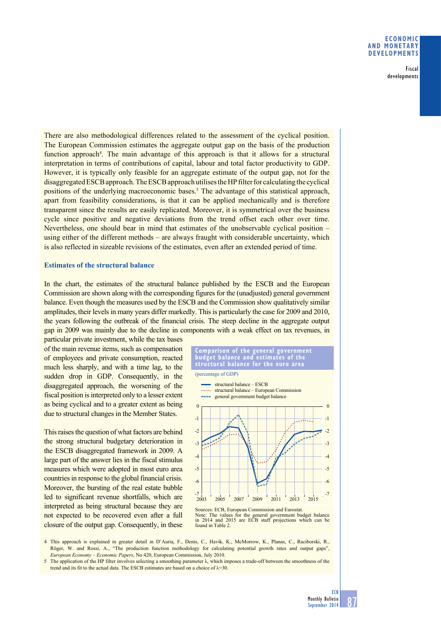## **Economic and monetary developments**

Fiscal developments

There are also methodological differences related to the assessment of the cyclical position. The European Commission estimates the aggregate output gap on the basis of the production function approach<sup>4</sup>. The main advantage of this approach is that it allows for a structural interpretation in terms of contributions of capital, labour and total factor productivity to GDP. However, it is typically only feasible for an aggregate estimate of the output gap, not for the disaggregated ESCB approach. The ESCB approach utilises the HP filter for calculating the cyclical positions of the underlying macroeconomic bases.<sup>5</sup> The advantage of this statistical approach, apart from feasibility considerations, is that it can be applied mechanically and is therefore transparent since the results are easily replicated. Moreover, it is symmetrical over the business cycle since positive and negative deviations from the trend offset each other over time. Nevertheless, one should bear in mind that estimates of the unobservable cyclical position – using either of the different methods – are always fraught with considerable uncertainty, which is also reflected in sizeable revisions of the estimates, even after an extended period of time.

## **Estimates of the structural balance**

In the chart, the estimates of the structural balance published by the ESCB and the European Commission are shown along with the corresponding figures for the (unadjusted) general government balance. Even though the measures used by the ESCB and the Commission show qualitatively similar amplitudes, their levels in many years differ markedly. This is particularly the case for 2009 and 2010, the years following the outbreak of the financial crisis. The steep decline in the aggregate output gap in 2009 was mainly due to the decline in components with a weak effect on tax revenues, in

particular private investment, while the tax bases of the main revenue items, such as compensation of employees and private consumption, reacted much less sharply, and with a time lag, to the sudden drop in GDP. Consequently, in the disaggregated approach, the worsening of the fiscal position is interpreted only to a lesser extent as being cyclical and to a greater extent as being due to structural changes in the Member States.

This raises the question of what factors are behind the strong structural budgetary deterioration in the ESCB disaggregated framework in 2009. A large part of the answer lies in the fiscal stimulus measures which were adopted in most euro area countries in response to the global financial crisis. Moreover, the bursting of the real estate bubble led to significant revenue shortfalls, which are interpreted as being structural because they are not expected to be recovered even after a full closure of the output gap. Consequently, in these

**comparison of the general government budget balance and estimates of the structural balance for the euro area** (percentage of GDP)



Sources: ECB, European Commission and Eurostat. Note: The values for the general government budget balance in 2014 and 2015 are ECB staff projections which can be found in Table 2.

4 This approach is explained in greater detail in D'Auria, F., Denis, C., Havik, K., McMorrow, K., Planas, C., Raciborski, R., Röger, W. and Rossi, A., "The production function methodology for calculating potential growth rates and output gaps", *European Economy – Economic Papers*, No 420, European Commission, July 2010.

5 The application of the HP filter involves selecting a smoothing parameter λ, which imposes a trade-off between the smoothness of the trend and its fit to the actual data. The ESCB estimates are based on a choice of  $\lambda$ =30.